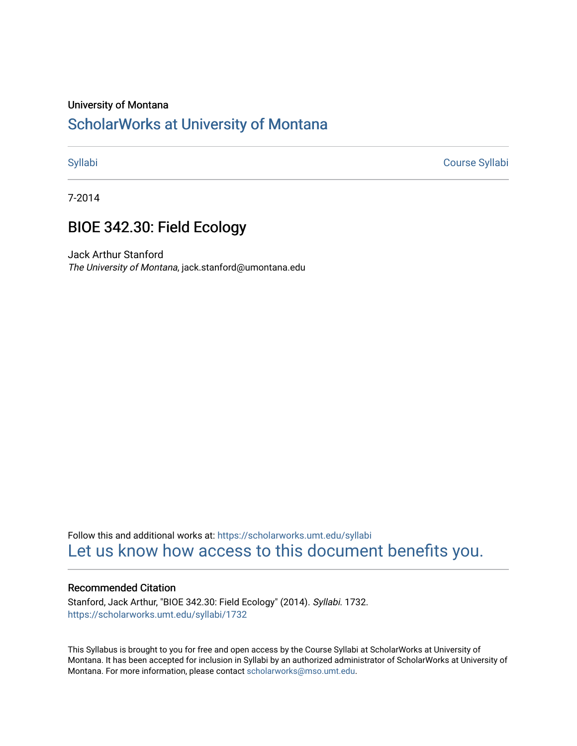#### University of Montana

# [ScholarWorks at University of Montana](https://scholarworks.umt.edu/)

[Syllabi](https://scholarworks.umt.edu/syllabi) [Course Syllabi](https://scholarworks.umt.edu/course_syllabi) 

7-2014

# BIOE 342.30: Field Ecology

Jack Arthur Stanford The University of Montana, jack.stanford@umontana.edu

Follow this and additional works at: [https://scholarworks.umt.edu/syllabi](https://scholarworks.umt.edu/syllabi?utm_source=scholarworks.umt.edu%2Fsyllabi%2F1732&utm_medium=PDF&utm_campaign=PDFCoverPages)  [Let us know how access to this document benefits you.](https://goo.gl/forms/s2rGfXOLzz71qgsB2) 

#### Recommended Citation

Stanford, Jack Arthur, "BIOE 342.30: Field Ecology" (2014). Syllabi. 1732. [https://scholarworks.umt.edu/syllabi/1732](https://scholarworks.umt.edu/syllabi/1732?utm_source=scholarworks.umt.edu%2Fsyllabi%2F1732&utm_medium=PDF&utm_campaign=PDFCoverPages)

This Syllabus is brought to you for free and open access by the Course Syllabi at ScholarWorks at University of Montana. It has been accepted for inclusion in Syllabi by an authorized administrator of ScholarWorks at University of Montana. For more information, please contact [scholarworks@mso.umt.edu.](mailto:scholarworks@mso.umt.edu)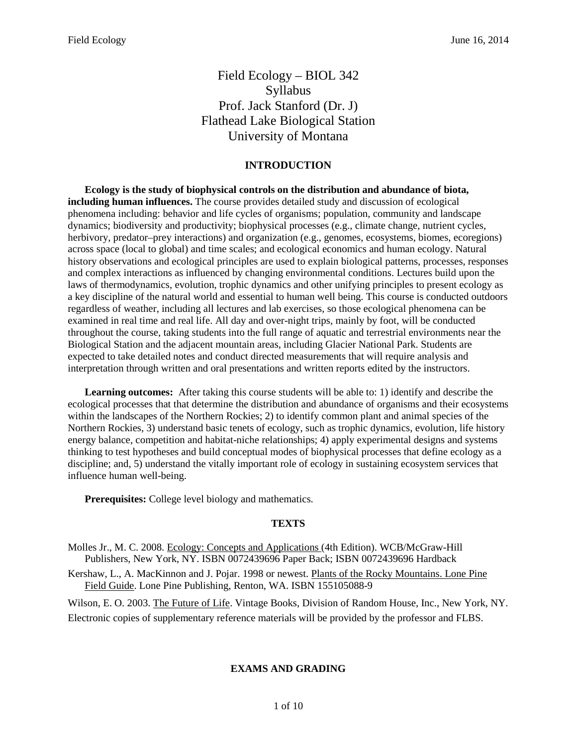## Field Ecology – BIOL 342 Syllabus Prof. Jack Stanford (Dr. J) Flathead Lake Biological Station University of Montana

### **INTRODUCTION**

**Ecology is the study of biophysical controls on the distribution and abundance of biota, including human influences.** The course provides detailed study and discussion of ecological phenomena including: behavior and life cycles of organisms; population, community and landscape dynamics; biodiversity and productivity; biophysical processes (e.g., climate change, nutrient cycles, herbivory, predator–prey interactions) and organization (e.g., genomes, ecosystems, biomes, ecoregions) across space (local to global) and time scales; and ecological economics and human ecology. Natural history observations and ecological principles are used to explain biological patterns, processes, responses and complex interactions as influenced by changing environmental conditions. Lectures build upon the laws of thermodynamics, evolution, trophic dynamics and other unifying principles to present ecology as a key discipline of the natural world and essential to human well being. This course is conducted outdoors regardless of weather, including all lectures and lab exercises, so those ecological phenomena can be examined in real time and real life. All day and over-night trips, mainly by foot, will be conducted throughout the course, taking students into the full range of aquatic and terrestrial environments near the Biological Station and the adjacent mountain areas, including Glacier National Park. Students are expected to take detailed notes and conduct directed measurements that will require analysis and interpretation through written and oral presentations and written reports edited by the instructors.

**Learning outcomes:** After taking this course students will be able to: 1) identify and describe the ecological processes that that determine the distribution and abundance of organisms and their ecosystems within the landscapes of the Northern Rockies; 2) to identify common plant and animal species of the Northern Rockies, 3) understand basic tenets of ecology, such as trophic dynamics, evolution, life history energy balance, competition and habitat-niche relationships; 4) apply experimental designs and systems thinking to test hypotheses and build conceptual modes of biophysical processes that define ecology as a discipline; and, 5) understand the vitally important role of ecology in sustaining ecosystem services that influence human well-being.

**Prerequisites:** College level biology and mathematics.

#### **TEXTS**

- Molles Jr., M. C. 2008. Ecology: Concepts and Applications (4th Edition). WCB/McGraw-Hill Publishers, New York, NY. ISBN 0072439696 Paper Back; ISBN 0072439696 Hardback
- Kershaw, L., A. MacKinnon and J. Pojar. 1998 or newest. Plants of the Rocky Mountains. Lone Pine Field Guide. Lone Pine Publishing, Renton, WA. ISBN 155105088-9

Wilson, E. O. 2003. The Future of Life. Vintage Books, Division of Random House, Inc., New York, NY. Electronic copies of supplementary reference materials will be provided by the professor and FLBS.

#### **EXAMS AND GRADING**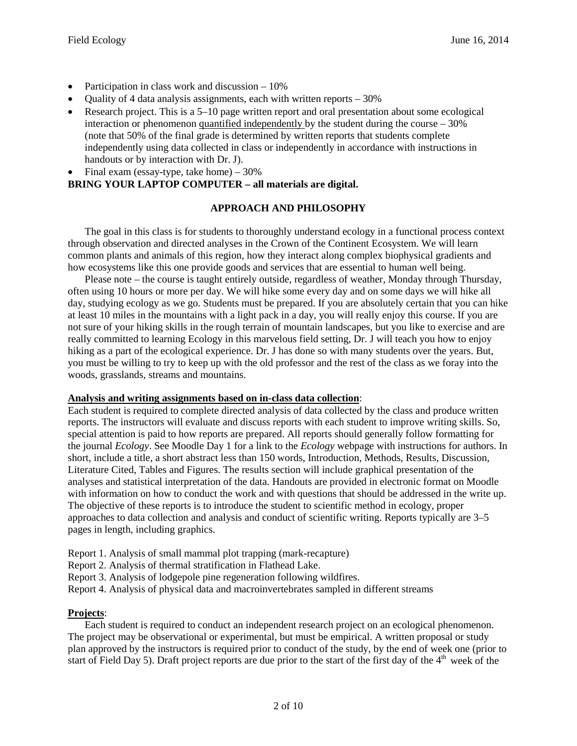- Participation in class work and discussion  $-10\%$
- Quality of 4 data analysis assignments, each with written reports 30%
- Research project. This is a  $5-10$  page written report and oral presentation about some ecological interaction or phenomenon quantified independently by the student during the course  $-30\%$ (note that 50% of the final grade is determined by written reports that students complete independently using data collected in class or independently in accordance with instructions in handouts or by interaction with Dr. J).
- Final exam (essay-type, take home)  $-30\%$

## **BRING YOUR LAPTOP COMPUTER – all materials are digital.**

#### **APPROACH AND PHILOSOPHY**

The goal in this class is for students to thoroughly understand ecology in a functional process context through observation and directed analyses in the Crown of the Continent Ecosystem. We will learn common plants and animals of this region, how they interact along complex biophysical gradients and how ecosystems like this one provide goods and services that are essential to human well being.

Please note – the course is taught entirely outside, regardless of weather, Monday through Thursday, often using 10 hours or more per day. We will hike some every day and on some days we will hike all day, studying ecology as we go. Students must be prepared. If you are absolutely certain that you can hike at least 10 miles in the mountains with a light pack in a day, you will really enjoy this course. If you are not sure of your hiking skills in the rough terrain of mountain landscapes, but you like to exercise and are really committed to learning Ecology in this marvelous field setting, Dr. J will teach you how to enjoy hiking as a part of the ecological experience. Dr. J has done so with many students over the years. But, you must be willing to try to keep up with the old professor and the rest of the class as we foray into the woods, grasslands, streams and mountains.

#### **Analysis and writing assignments based on in-class data collection**:

Each student is required to complete directed analysis of data collected by the class and produce written reports. The instructors will evaluate and discuss reports with each student to improve writing skills. So, special attention is paid to how reports are prepared. All reports should generally follow formatting for the journal *Ecology*. See Moodle Day 1 for a link to the *Ecology* webpage with instructions for authors. In short, include a title, a short abstract less than 150 words, Introduction, Methods, Results, Discussion, Literature Cited, Tables and Figures. The results section will include graphical presentation of the analyses and statistical interpretation of the data. Handouts are provided in electronic format on Moodle with information on how to conduct the work and with questions that should be addressed in the write up. The objective of these reports is to introduce the student to scientific method in ecology, proper approaches to data collection and analysis and conduct of scientific writing. Reports typically are 3–5 pages in length, including graphics.

- Report 1. Analysis of small mammal plot trapping (mark-recapture)
- Report 2. Analysis of thermal stratification in Flathead Lake.
- Report 3. Analysis of lodgepole pine regeneration following wildfires.
- Report 4. Analysis of physical data and macroinvertebrates sampled in different streams

#### **Projects**:

Each student is required to conduct an independent research project on an ecological phenomenon. The project may be observational or experimental, but must be empirical. A written proposal or study plan approved by the instructors is required prior to conduct of the study, by the end of week one (prior to start of Field Day 5). Draft project reports are due prior to the start of the first day of the  $4<sup>th</sup>$  week of the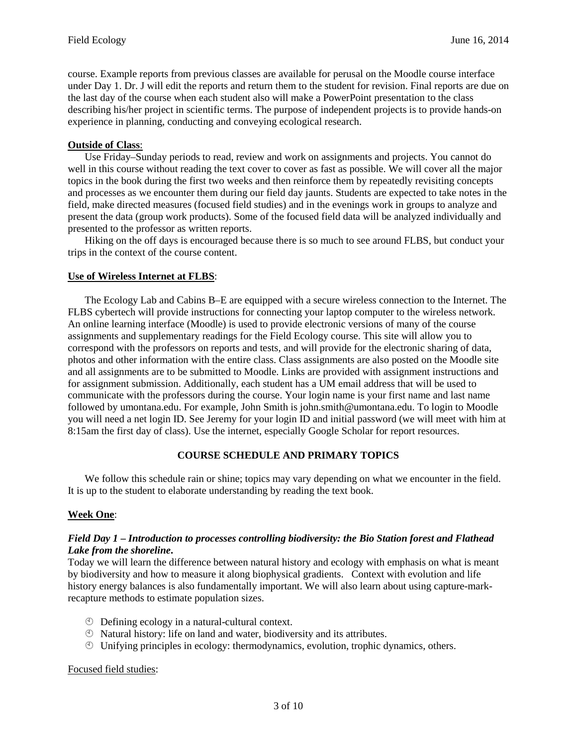course. Example reports from previous classes are available for perusal on the Moodle course interface under Day 1. Dr. J will edit the reports and return them to the student for revision. Final reports are due on the last day of the course when each student also will make a PowerPoint presentation to the class describing his/her project in scientific terms. The purpose of independent projects is to provide hands-on experience in planning, conducting and conveying ecological research.

#### **Outside of Class**:

Use Friday–Sunday periods to read, review and work on assignments and projects. You cannot do well in this course without reading the text cover to cover as fast as possible. We will cover all the major topics in the book during the first two weeks and then reinforce them by repeatedly revisiting concepts and processes as we encounter them during our field day jaunts. Students are expected to take notes in the field, make directed measures (focused field studies) and in the evenings work in groups to analyze and present the data (group work products). Some of the focused field data will be analyzed individually and presented to the professor as written reports.

Hiking on the off days is encouraged because there is so much to see around FLBS, but conduct your trips in the context of the course content.

#### **Use of Wireless Internet at FLBS**:

The Ecology Lab and Cabins B–E are equipped with a secure wireless connection to the Internet. The FLBS cybertech will provide instructions for connecting your laptop computer to the wireless network. An online learning interface (Moodle) is used to provide electronic versions of many of the course assignments and supplementary readings for the Field Ecology course. This site will allow you to correspond with the professors on reports and tests, and will provide for the electronic sharing of data, photos and other information with the entire class. Class assignments are also posted on the Moodle site and all assignments are to be submitted to Moodle. Links are provided with assignment instructions and for assignment submission. Additionally, each student has a UM email address that will be used to communicate with the professors during the course. Your login name is your first name and last name followed by umontana.edu. For example, John Smith is john.smith@umontana.edu. To login to Moodle you will need a net login ID. See Jeremy for your login ID and initial password (we will meet with him at 8:15am the first day of class). Use the internet, especially Google Scholar for report resources.

#### **COURSE SCHEDULE AND PRIMARY TOPICS**

We follow this schedule rain or shine; topics may vary depending on what we encounter in the field. It is up to the student to elaborate understanding by reading the text book.

#### **Week One**:

#### *Field Day 1* **–** *Introduction to processes controlling biodiversity: the Bio Station forest and Flathead Lake from the shoreline***.**

Today we will learn the difference between natural history and ecology with emphasis on what is meant by biodiversity and how to measure it along biophysical gradients. Context with evolution and life history energy balances is also fundamentally important. We will also learn about using capture-markrecapture methods to estimate population sizes.

- Defining ecology in a natural-cultural context.
- Natural history: life on land and water, biodiversity and its attributes.
- Unifying principles in ecology: thermodynamics, evolution, trophic dynamics, others.

#### Focused field studies: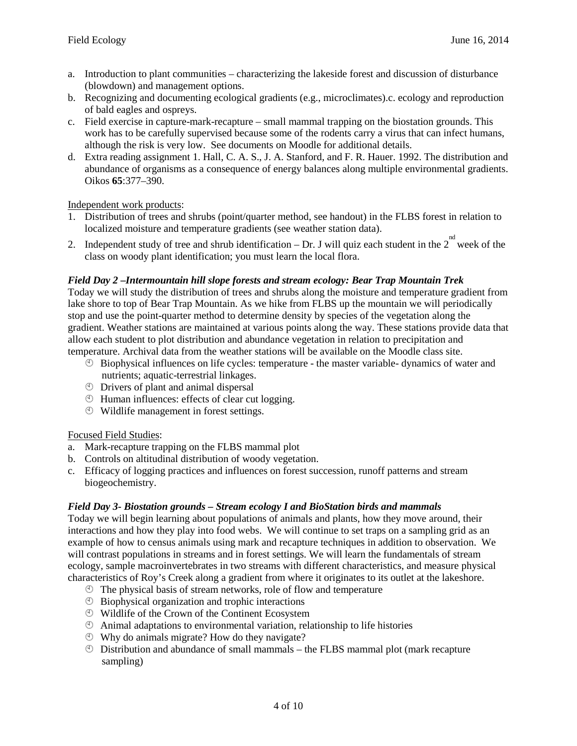- a. Introduction to plant communities characterizing the lakeside forest and discussion of disturbance (blowdown) and management options.
- b. Recognizing and documenting ecological gradients (e.g., microclimates).c. ecology and reproduction of bald eagles and ospreys.
- c. Field exercise in capture-mark-recapture small mammal trapping on the biostation grounds. This work has to be carefully supervised because some of the rodents carry a virus that can infect humans, although the risk is very low. See documents on Moodle for additional details.
- d. Extra reading assignment 1. Hall, C. A. S., J. A. Stanford, and F. R. Hauer. 1992. The distribution and abundance of organisms as a consequence of energy balances along multiple environmental gradients. Oikos **65**:377–390.

Independent work products:

- 1. Distribution of trees and shrubs (point/quarter method, see handout) in the FLBS forest in relation to localized moisture and temperature gradients (see weather station data).
- 2. Independent study of tree and shrub identification Dr. J will quiz each student in the 2<sup>nd</sup> week of the class on woody plant identification; you must learn the local flora.

#### *Field Day 2 –Intermountain hill slope forests and stream ecology: Bear Trap Mountain Trek*

Today we will study the distribution of trees and shrubs along the moisture and temperature gradient from lake shore to top of Bear Trap Mountain. As we hike from FLBS up the mountain we will periodically stop and use the point-quarter method to determine density by species of the vegetation along the gradient. Weather stations are maintained at various points along the way. These stations provide data that allow each student to plot distribution and abundance vegetation in relation to precipitation and temperature. Archival data from the weather stations will be available on the Moodle class site.

- $\circled{B}$  Biophysical influences on life cycles: temperature the master variable- dynamics of water and nutrients; aquatic-terrestrial linkages.
- Drivers of plant and animal dispersal
- Human influences: effects of clear cut logging.
- Wildlife management in forest settings.

#### Focused Field Studies:

- a. Mark-recapture trapping on the FLBS mammal plot
- b. Controls on altitudinal distribution of woody vegetation.
- c. Efficacy of logging practices and influences on forest succession, runoff patterns and stream biogeochemistry.

#### *Field Day 3- Biostation grounds – Stream ecology I and BioStation birds and mammals*

Today we will begin learning about populations of animals and plants, how they move around, their interactions and how they play into food webs. We will continue to set traps on a sampling grid as an example of how to census animals using mark and recapture techniques in addition to observation. We will contrast populations in streams and in forest settings. We will learn the fundamentals of stream ecology, sample macroinvertebrates in two streams with different characteristics, and measure physical characteristics of Roy's Creek along a gradient from where it originates to its outlet at the lakeshore.

- The physical basis of stream networks, role of flow and temperature
- Biophysical organization and trophic interactions
- Wildlife of the Crown of the Continent Ecosystem
- Animal adaptations to environmental variation, relationship to life histories
- Why do animals migrate? How do they navigate?
- $\circled{1}$  Distribution and abundance of small mammals the FLBS mammal plot (mark recapture sampling)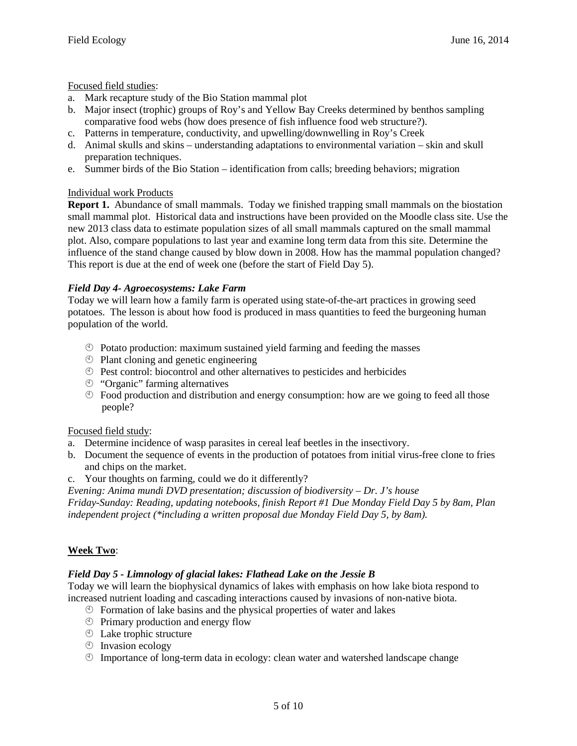Focused field studies:

- a. Mark recapture study of the Bio Station mammal plot
- b. Major insect (trophic) groups of Roy's and Yellow Bay Creeks determined by benthos sampling comparative food webs (how does presence of fish influence food web structure?).
- c. Patterns in temperature, conductivity, and upwelling/downwelling in Roy's Creek
- d. Animal skulls and skins understanding adaptations to environmental variation skin and skull preparation techniques.
- e. Summer birds of the Bio Station identification from calls; breeding behaviors; migration

#### Individual work Products

**Report 1.** Abundance of small mammals. Today we finished trapping small mammals on the biostation small mammal plot. Historical data and instructions have been provided on the Moodle class site. Use the new 2013 class data to estimate population sizes of all small mammals captured on the small mammal plot. Also, compare populations to last year and examine long term data from this site. Determine the influence of the stand change caused by blow down in 2008. How has the mammal population changed? This report is due at the end of week one (before the start of Field Day 5).

#### *Field Day 4- Agroecosystems: Lake Farm*

Today we will learn how a family farm is operated using state-of-the-art practices in growing seed potatoes. The lesson is about how food is produced in mass quantities to feed the burgeoning human population of the world.

- $\circled{P}$  Potato production: maximum sustained yield farming and feeding the masses
- **Plant cloning and genetic engineering**
- Pest control: biocontrol and other alternatives to pesticides and herbicides
- "Organic" farming alternatives
- $\degree$  Food production and distribution and energy consumption: how are we going to feed all those people?

#### Focused field study:

- a. Determine incidence of wasp parasites in cereal leaf beetles in the insectivory.
- b. Document the sequence of events in the production of potatoes from initial virus-free clone to fries and chips on the market.
- c. Your thoughts on farming, could we do it differently?

*Evening: Anima mundi DVD presentation; discussion of biodiversity – Dr. J's house* 

*Friday-Sunday: Reading, updating notebooks, finish Report #1 Due Monday Field Day 5 by 8am, Plan independent project (\*including a written proposal due Monday Field Day 5, by 8am).* 

#### **Week Two**:

#### *Field Day 5 - Limnology of glacial lakes: Flathead Lake on the Jessie B*

Today we will learn the biophysical dynamics of lakes with emphasis on how lake biota respond to increased nutrient loading and cascading interactions caused by invasions of non-native biota.

- $\circled{1}$  Formation of lake basins and the physical properties of water and lakes
- $\circled{$  Primary production and energy flow
- Lake trophic structure
- $\circledcirc$  Invasion ecology
- Importance of long-term data in ecology: clean water and watershed landscape change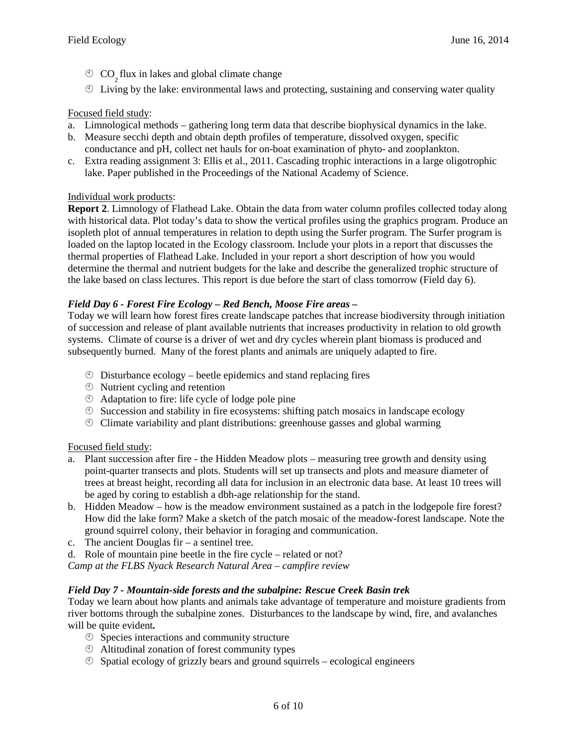- **CO** flux in lakes and global climate change
- $\overline{2}$  Living by the lake: environmental laws and protecting, sustaining and conserving water quality

#### Focused field study:

- a. Limnological methods gathering long term data that describe biophysical dynamics in the lake.
- b. Measure secchi depth and obtain depth profiles of temperature, dissolved oxygen, specific conductance and pH, collect net hauls for on-boat examination of phyto- and zooplankton.
- c. Extra reading assignment 3: Ellis et al., 2011. Cascading trophic interactions in a large oligotrophic lake. Paper published in the Proceedings of the National Academy of Science.

#### Individual work products:

**Report 2**. Limnology of Flathead Lake. Obtain the data from water column profiles collected today along with historical data. Plot today's data to show the vertical profiles using the graphics program. Produce an isopleth plot of annual temperatures in relation to depth using the Surfer program. The Surfer program is loaded on the laptop located in the Ecology classroom. Include your plots in a report that discusses the thermal properties of Flathead Lake. Included in your report a short description of how you would determine the thermal and nutrient budgets for the lake and describe the generalized trophic structure of the lake based on class lectures. This report is due before the start of class tomorrow (Field day 6).

#### *Field Day 6 - Forest Fire Ecology – Red Bench, Moose Fire areas –*

Today we will learn how forest fires create landscape patches that increase biodiversity through initiation of succession and release of plant available nutrients that increases productivity in relation to old growth systems. Climate of course is a driver of wet and dry cycles wherein plant biomass is produced and subsequently burned. Many of the forest plants and animals are uniquely adapted to fire.

- $\circled{b}$  Disturbance ecology beetle epidemics and stand replacing fires
- Nutrient cycling and retention
- Adaptation to fire: life cycle of lodge pole pine
- $\circled{S}$  Succession and stability in fire ecosystems: shifting patch mosaics in landscape ecology
- Climate variability and plant distributions: greenhouse gasses and global warming

#### Focused field study:

- a. Plant succession after fire the Hidden Meadow plots measuring tree growth and density using point-quarter transects and plots. Students will set up transects and plots and measure diameter of trees at breast height, recording all data for inclusion in an electronic data base. At least 10 trees will be aged by coring to establish a dbh-age relationship for the stand.
- b. Hidden Meadow how is the meadow environment sustained as a patch in the lodgepole fire forest? How did the lake form? Make a sketch of the patch mosaic of the meadow-forest landscape. Note the ground squirrel colony, their behavior in foraging and communication.
- c. The ancient Douglas fir a sentinel tree.
- d. Role of mountain pine beetle in the fire cycle related or not?

*Camp at the FLBS Nyack Research Natural Area – campfire review* 

#### *Field Day 7 - Mountain-side forests and the subalpine: Rescue Creek Basin trek*

Today we learn about how plants and animals take advantage of temperature and moisture gradients from river bottoms through the subalpine zones. Disturbances to the landscape by wind, fire, and avalanches will be quite evident*.* 

- **Species interactions and community structure**
- Altitudinal zonation of forest community types
- $\circled{S}$  Spatial ecology of grizzly bears and ground squirrels ecological engineers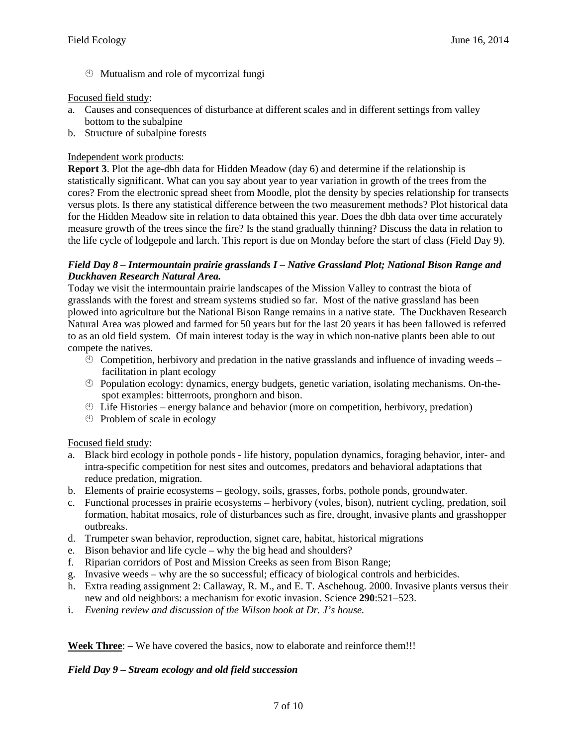Mutualism and role of mycorrizal fungi

#### Focused field study:

- a. Causes and consequences of disturbance at different scales and in different settings from valley bottom to the subalpine
- b. Structure of subalpine forests

#### Independent work products:

**Report 3**. Plot the age-dbh data for Hidden Meadow (day 6) and determine if the relationship is statistically significant. What can you say about year to year variation in growth of the trees from the cores? From the electronic spread sheet from Moodle, plot the density by species relationship for transects versus plots. Is there any statistical difference between the two measurement methods? Plot historical data for the Hidden Meadow site in relation to data obtained this year. Does the dbh data over time accurately measure growth of the trees since the fire? Is the stand gradually thinning? Discuss the data in relation to the life cycle of lodgepole and larch. This report is due on Monday before the start of class (Field Day 9).

#### *Field Day 8 – Intermountain prairie grasslands I – Native Grassland Plot; National Bison Range and Duckhaven Research Natural Area.*

Today we visit the intermountain prairie landscapes of the Mission Valley to contrast the biota of grasslands with the forest and stream systems studied so far. Most of the native grassland has been plowed into agriculture but the National Bison Range remains in a native state. The Duckhaven Research Natural Area was plowed and farmed for 50 years but for the last 20 years it has been fallowed is referred to as an old field system. Of main interest today is the way in which non-native plants been able to out compete the natives.

- $\degree$  Competition, herbivory and predation in the native grasslands and influence of invading weeds facilitation in plant ecology
- Population ecology: dynamics, energy budgets, genetic variation, isolating mechanisms. On-thespot examples: bitterroots, pronghorn and bison.
- $\circled{1}$  Life Histories energy balance and behavior (more on competition, herbivory, predation)
- Problem of scale in ecology

#### Focused field study:

- a. Black bird ecology in pothole ponds life history, population dynamics, foraging behavior, inter- and intra-specific competition for nest sites and outcomes, predators and behavioral adaptations that reduce predation, migration.
- b. Elements of prairie ecosystems geology, soils, grasses, forbs, pothole ponds, groundwater.
- c. Functional processes in prairie ecosystems herbivory (voles, bison), nutrient cycling, predation, soil formation, habitat mosaics, role of disturbances such as fire, drought, invasive plants and grasshopper outbreaks.
- d. Trumpeter swan behavior, reproduction, signet care, habitat, historical migrations
- e. Bison behavior and life cycle why the big head and shoulders?
- f. Riparian corridors of Post and Mission Creeks as seen from Bison Range;
- g. Invasive weeds why are the so successful; efficacy of biological controls and herbicides.
- h. Extra reading assignment 2: Callaway, R. M., and E. T. Aschehoug. 2000. Invasive plants versus their new and old neighbors: a mechanism for exotic invasion. Science **290**:521–523.
- i. *Evening review and discussion of the Wilson book at Dr. J's house.*

**Week Three**: **–** We have covered the basics, now to elaborate and reinforce them!!!

#### *Field Day 9 – Stream ecology and old field succession*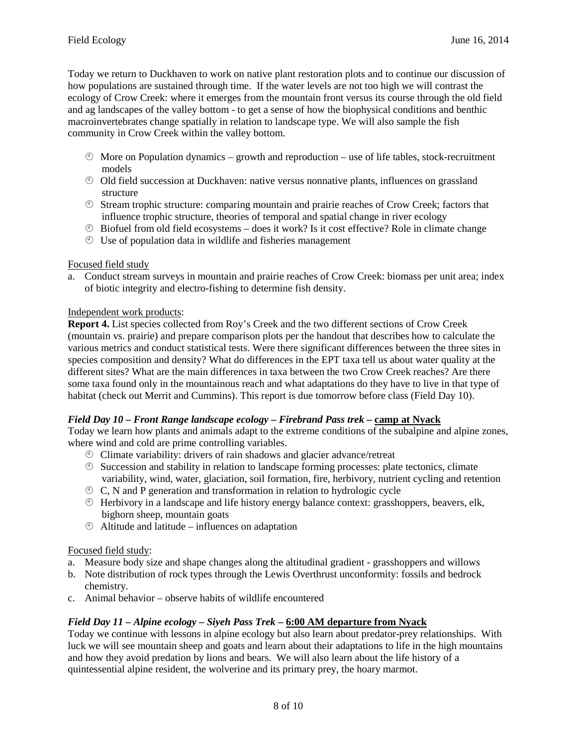Today we return to Duckhaven to work on native plant restoration plots and to continue our discussion of how populations are sustained through time. If the water levels are not too high we will contrast the ecology of Crow Creek: where it emerges from the mountain front versus its course through the old field and ag landscapes of the valley bottom - to get a sense of how the biophysical conditions and benthic macroinvertebrates change spatially in relation to landscape type. We will also sample the fish community in Crow Creek within the valley bottom.

- $\degree$  More on Population dynamics growth and reproduction use of life tables, stock-recruitment models
- Old field succession at Duckhaven: native versus nonnative plants, influences on grassland structure
- Stream trophic structure: comparing mountain and prairie reaches of Crow Creek; factors that influence trophic structure, theories of temporal and spatial change in river ecology
- $\degree$  Biofuel from old field ecosystems does it work? Is it cost effective? Role in climate change
- Use of population data in wildlife and fisheries management

#### Focused field study

a. Conduct stream surveys in mountain and prairie reaches of Crow Creek: biomass per unit area; index of biotic integrity and electro-fishing to determine fish density.

#### Independent work products:

**Report 4.** List species collected from Roy's Creek and the two different sections of Crow Creek (mountain vs. prairie) and prepare comparison plots per the handout that describes how to calculate the various metrics and conduct statistical tests. Were there significant differences between the three sites in species composition and density? What do differences in the EPT taxa tell us about water quality at the different sites? What are the main differences in taxa between the two Crow Creek reaches? Are there some taxa found only in the mountainous reach and what adaptations do they have to live in that type of habitat (check out Merrit and Cummins). This report is due tomorrow before class (Field Day 10).

#### *Field Day 10 – Front Range landscape ecology – Firebrand Pass trek* **– camp at Nyack**

Today we learn how plants and animals adapt to the extreme conditions of the subalpine and alpine zones, where wind and cold are prime controlling variables.

- Climate variability: drivers of rain shadows and glacier advance/retreat
- $\circled{S}$  Succession and stability in relation to landscape forming processes: plate tectonics, climate variability, wind, water, glaciation, soil formation, fire, herbivory, nutrient cycling and retention
- $\circled{C}$ , N and P generation and transformation in relation to hydrologic cycle
- Herbivory in a landscape and life history energy balance context: grasshoppers, beavers, elk, bighorn sheep, mountain goats
- Altitude and latitude influences on adaptation

#### Focused field study:

- a. Measure body size and shape changes along the altitudinal gradient grasshoppers and willows
- b. Note distribution of rock types through the Lewis Overthrust unconformity: fossils and bedrock chemistry.
- c. Animal behavior observe habits of wildlife encountered

#### *Field Day 11 – Alpine ecology – Siyeh Pass Trek* **– 6:00 AM departure from Nyack**

Today we continue with lessons in alpine ecology but also learn about predator-prey relationships. With luck we will see mountain sheep and goats and learn about their adaptations to life in the high mountains and how they avoid predation by lions and bears. We will also learn about the life history of a quintessential alpine resident, the wolverine and its primary prey, the hoary marmot.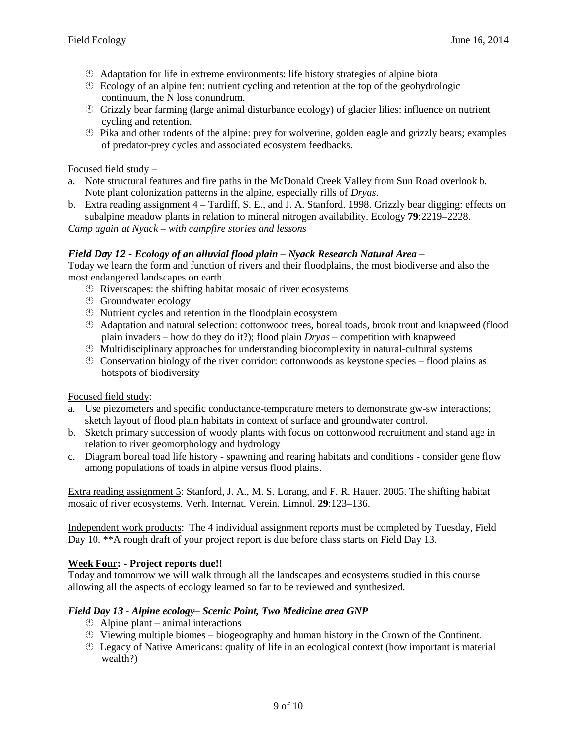- Adaptation for life in extreme environments: life history strategies of alpine biota
- $\circled{E}$  Ecology of an alpine fen: nutrient cycling and retention at the top of the geohydrologic continuum, the N loss conundrum.
- $\circled{S}$  Grizzly bear farming (large animal disturbance ecology) of glacier lilies: influence on nutrient cycling and retention.
- $\circled{P}$  Pika and other rodents of the alpine: prey for wolverine, golden eagle and grizzly bears; examples of predator-prey cycles and associated ecosystem feedbacks.

#### Focused field study –

- a. Note structural features and fire paths in the McDonald Creek Valley from Sun Road overlook b. Note plant colonization patterns in the alpine, especially rills of *Dryas*.
- b. Extra reading assignment 4 Tardiff, S. E., and J. A. Stanford. 1998. Grizzly bear digging: effects on subalpine meadow plants in relation to mineral nitrogen availability. Ecology **79**:2219–2228.

*Camp again at Nyack – with campfire stories and lessons* 

#### *Field Day 12 - Ecology of an alluvial flood plain – Nyack Research Natural Area* **–**

Today we learn the form and function of rivers and their floodplains, the most biodiverse and also the most endangered landscapes on earth.

- Riverscapes: the shifting habitat mosaic of river ecosystems
- Groundwater ecology
- Nutrient cycles and retention in the floodplain ecosystem
- Adaptation and natural selection: cottonwood trees, boreal toads, brook trout and knapweed (flood plain invaders – how do they do it?); flood plain *Dryas –* competition with knapweed
- $\circled{}$  Multidisciplinary approaches for understanding biocomplexity in natural-cultural systems
- $\degree$  Conservation biology of the river corridor: cottonwoods as keystone species flood plains as hotspots of biodiversity

#### Focused field study:

- a. Use piezometers and specific conductance-temperature meters to demonstrate gw-sw interactions; sketch layout of flood plain habitats in context of surface and groundwater control.
- b. Sketch primary succession of woody plants with focus on cottonwood recruitment and stand age in relation to river geomorphology and hydrology
- c. Diagram boreal toad life history spawning and rearing habitats and conditions consider gene flow among populations of toads in alpine versus flood plains.

Extra reading assignment 5: Stanford, J. A., M. S. Lorang, and F. R. Hauer. 2005. The shifting habitat mosaic of river ecosystems. Verh. Internat. Verein. Limnol. **29**:123–136.

Independent work products: The 4 individual assignment reports must be completed by Tuesday, Field Day 10. \*\*A rough draft of your project report is due before class starts on Field Day 13.

#### **Week Four: - Project reports due!!**

Today and tomorrow we will walk through all the landscapes and ecosystems studied in this course allowing all the aspects of ecology learned so far to be reviewed and synthesized.

#### *Field Day 13 - Alpine ecology– Scenic Point, Two Medicine area GNP*

- $\circled{1}$  Alpine plant animal interactions
- $\circled{S}$  Viewing multiple biomes biogeography and human history in the Crown of the Continent.
- Legacy of Native Americans: quality of life in an ecological context (how important is material wealth?)